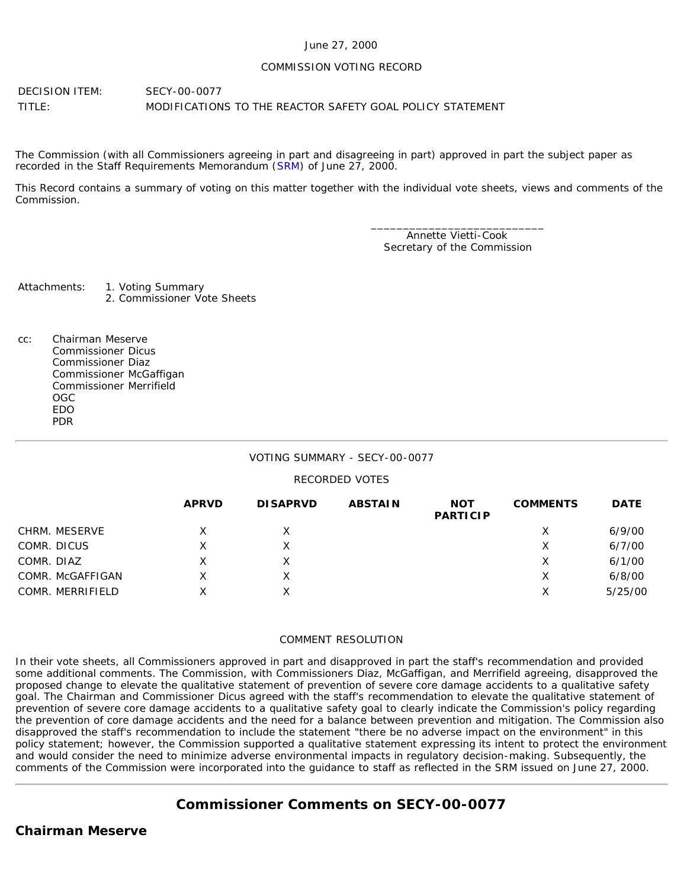#### June 27, 2000

#### COMMISSION VOTING RECORD

DECISION ITEM: SECY-00-0077 TITLE: MODIFICATIONS TO THE REACTOR SAFETY GOAL POLICY STATEMENT

The Commission (with all Commissioners agreeing in part and disagreeing in part) approved in part the subject paper as recorded in the Staff Requirements Memorandum ([SRM](http://www.nrc.gov/reading-rm/doc-collections/commission/srm/2000/2000-0077srm.html)) of June 27, 2000.

This Record contains a summary of voting on this matter together with the individual vote sheets, views and comments of the Commission.

> \_\_\_\_\_\_\_\_\_\_\_\_\_\_\_\_\_\_\_\_\_\_\_\_\_\_\_ Annette Vietti-Cook Secretary of the Commission

Attachments: 1. Voting Summary 2. Commissioner Vote Sheets

cc: Chairman Meserve Commissioner Dicus Commissioner Diaz Commissioner McGaffigan Commissioner Merrifield OGC EDO PDR

# VOTING SUMMARY - SECY-00-0077

# RECORDED VOTES

|                  | <b>APRVD</b> | <b>DISAPRVD</b> | <b>ABSTAIN</b> | <b>NOT</b><br><b>PARTICIP</b> | <b>COMMENTS</b> | <b>DATE</b> |
|------------------|--------------|-----------------|----------------|-------------------------------|-----------------|-------------|
| CHRM. MESERVE    |              |                 |                |                               | х               | 6/9/00      |
| COMR. DICUS      | Χ            |                 |                |                               | Х               | 6/7/00      |
| COMR. DIAZ       | х            |                 |                |                               | Х               | 6/1/00      |
| COMR. McGAFFIGAN | x            |                 |                |                               | х               | 6/8/00      |
| COMR. MERRIFIELD | Χ            |                 |                |                               | Х               | 5/25/00     |

# COMMENT RESOLUTION

In their vote sheets, all Commissioners approved in part and disapproved in part the staff's recommendation and provided some additional comments. The Commission, with Commissioners Diaz, McGaffigan, and Merrifield agreeing, disapproved the proposed change to elevate the qualitative statement of prevention of severe core damage accidents to a qualitative safety goal. The Chairman and Commissioner Dicus agreed with the staff's recommendation to elevate the qualitative statement of prevention of severe core damage accidents to a qualitative safety goal to clearly indicate the Commission's policy regarding the prevention of core damage accidents and the need for a balance between prevention and mitigation. The Commission also disapproved the staff's recommendation to include the statement "there be no adverse impact on the environment" in this policy statement; however, the Commission supported a qualitative statement expressing its intent to protect the environment and would consider the need to minimize adverse environmental impacts in regulatory decision-making. Subsequently, the comments of the Commission were incorporated into the guidance to staff as reflected in the SRM issued on June 27, 2000.

# **Commissioner Comments on [SECY-00-0077](http://www.nrc.gov/reading-rm/doc-collections/commission/secys/2000/secy2000-0077/2000-0077scy.html)**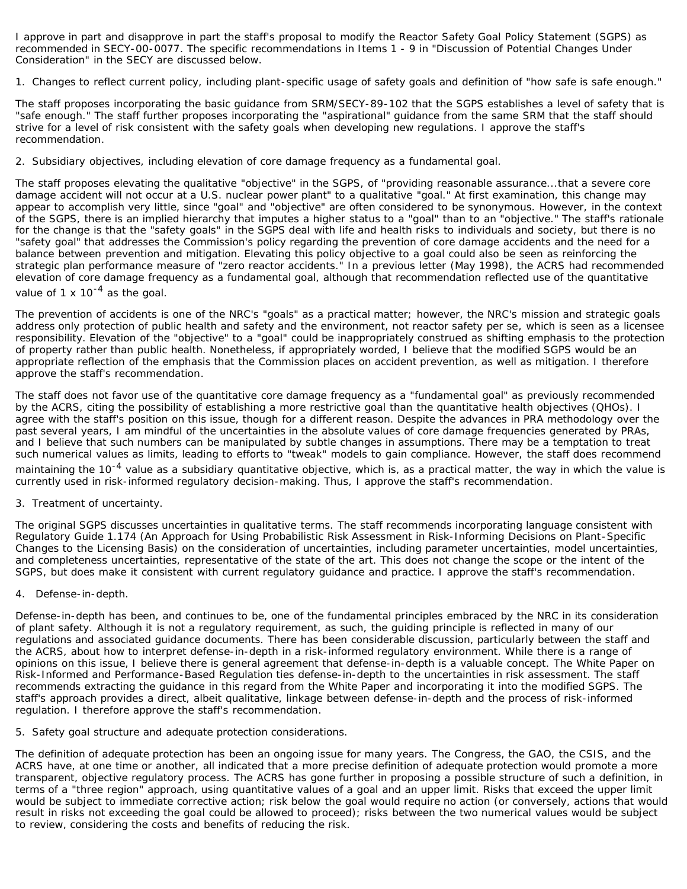I approve in part and disapprove in part the staff's proposal to modify the Reactor Safety Goal Policy Statement (SGPS) as recommended in SECY-00-0077. The specific recommendations in Items 1 - 9 in "Discussion of Potential Changes Under Consideration" in the SECY are discussed below.

1. Changes to reflect current policy, including plant-specific usage of safety goals and definition of "how safe is safe enough."

The staff proposes incorporating the basic guidance from SRM/SECY-89-102 that the SGPS establishes a level of safety that is "safe enough." The staff further proposes incorporating the "aspirational" guidance from the same SRM that the staff should strive for a level of risk consistent with the safety goals when developing new regulations. *I approve the staff's recommendation*.

2. Subsidiary objectives, including elevation of core damage frequency as a fundamental goal.

The staff proposes elevating the qualitative "objective" in the SGPS, of "providing reasonable assurance...that a severe core damage accident will not occur at a U.S. nuclear power plant" to a qualitative "goal." At first examination, this change may appear to accomplish very little, since "goal" and "objective" are often considered to be synonymous. However, in the context of the SGPS, there is an implied hierarchy that imputes a higher status to a "goal" than to an "objective." The staff's rationale for the change is that the "safety goals" in the SGPS deal with life and health risks to individuals and society, but there is no "safety goal" that addresses the Commission's policy regarding the prevention of core damage accidents and the need for a balance between prevention and mitigation. Elevating this policy objective to a goal could also be seen as reinforcing the strategic plan performance measure of "zero reactor accidents." In a previous letter (May 1998), the ACRS had recommended elevation of core damage frequency as a fundamental goal, although that recommendation reflected use of the quantitative value of  $1 \times 10^{-4}$  as the goal.

The prevention of accidents is one of the NRC's "goals" as a practical matter; however, the NRC's mission and strategic goals address only protection of public health and safety and the environment, not reactor safety *per se*, which is seen as a licensee responsibility. Elevation of the "objective" to a "goal" could be inappropriately construed as shifting emphasis to the protection of property rather than public health. Nonetheless, if appropriately worded, I believe that the modified SGPS would be an appropriate reflection of the emphasis that the Commission places on accident prevention, as well as mitigation. *I therefore approve the staff's recommendation*.

The staff does not favor use of the quantitative core damage frequency as a "fundamental goal" as previously recommended by the ACRS, citing the possibility of establishing a more restrictive goal than the quantitative health objectives (QHOs). I agree with the staff's position on this issue, though for a different reason. Despite the advances in PRA methodology over the past several years, I am mindful of the uncertainties in the absolute values of core damage frequencies generated by PRAs, and I believe that such numbers can be manipulated by subtle changes in assumptions. There may be a temptation to treat such numerical values as limits, leading to efforts to "tweak" models to gain compliance. However, the staff does recommend maintaining the 10<sup>-4</sup> value as a subsidiary quantitative objective, which is, as a practical matter, the way in which the value is currently used in risk-informed regulatory decision-making. Thus, *I approve the staff's recommendation*.

3. Treatment of uncertainty.

The original SGPS discusses uncertainties in qualitative terms. The staff recommends incorporating language consistent with Regulatory Guide 1.174 (An Approach for Using Probabilistic Risk Assessment in Risk-Informing Decisions on Plant-Specific Changes to the Licensing Basis) on the consideration of uncertainties, including parameter uncertainties, model uncertainties, and completeness uncertainties, representative of the state of the art. This does not change the scope or the intent of the SGPS, but does make it consistent with current regulatory guidance and practice. *I approve the staff's recommendation*.

4. Defense-in-depth.

Defense-in-depth has been, and continues to be, one of the fundamental principles embraced by the NRC in its consideration of plant safety. Although it is not a regulatory requirement, as such, the guiding principle is reflected in many of our regulations and associated guidance documents. There has been considerable discussion, particularly between the staff and the ACRS, about how to interpret defense-in-depth in a risk-informed regulatory environment. While there is a range of opinions on this issue, I believe there is general agreement that defense-in-depth is a valuable concept. The White Paper on Risk-Informed and Performance-Based Regulation ties defense-in-depth to the uncertainties in risk assessment. The staff recommends extracting the guidance in this regard from the White Paper and incorporating it into the modified SGPS. The staff's approach provides a direct, albeit qualitative, linkage between defense-in-depth and the process of risk-informed regulation. *I therefore approve the staff's recommendation*.

5. Safety goal structure and adequate protection considerations.

The definition of adequate protection has been an ongoing issue for many years. The Congress, the GAO, the CSIS, and the ACRS have, at one time or another, all indicated that a more precise definition of adequate protection would promote a more transparent, objective regulatory process. The ACRS has gone further in proposing a possible structure of such a definition, in terms of a "three region" approach, using quantitative values of a goal and an upper limit. Risks that exceed the upper limit would be subject to immediate corrective action; risk below the goal would require no action (or conversely, actions that would result in risks not exceeding the goal could be allowed to proceed); risks between the two numerical values would be subject to review, considering the costs and benefits of reducing the risk.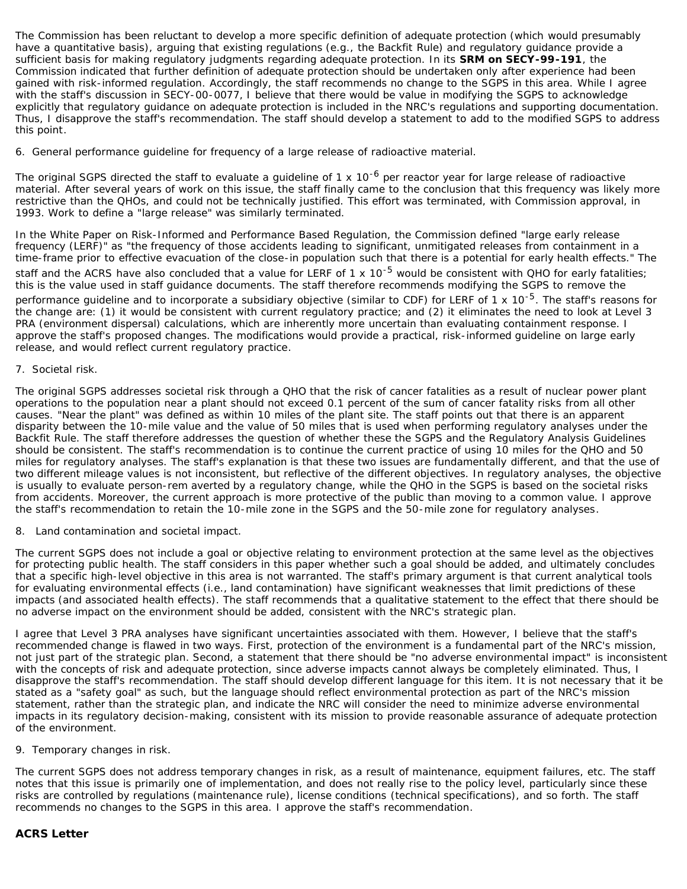The Commission has been reluctant to develop a more specific definition of adequate protection (which would presumably have a quantitative basis), arguing that existing regulations (e.g., the Backfit Rule) and regulatory guidance provide a sufficient basis for making regulatory judgments regarding adequate protection. In its **SRM on SECY-99-191**, the Commission indicated that further definition of adequate protection should be undertaken only after experience had been gained with risk-informed regulation. Accordingly, the staff recommends no change to the SGPS in this area. *While I agree with the staff's discussion in SECY-00-0077, I believe that there would be value in modifying the SGPS to acknowledge explicitly that regulatory guidance on adequate protection is included in the NRC's regulations and supporting documentation. Thus, I disapprove the staff's recommendation. The staff should develop a statement to add to the modified SGPS to address this point*.

6. General performance guideline for frequency of a large release of radioactive material.

The original SGPS directed the staff to evaluate a quideline of 1 x  $10^{-6}$  per reactor year for large release of radioactive material. After several years of work on this issue, the staff finally came to the conclusion that this frequency was likely more restrictive than the QHOs, and could not be technically justified. This effort was terminated, with Commission approval, in 1993. Work to define a "large release" was similarly terminated.

In the White Paper on Risk-Informed and Performance Based Regulation, the Commission defined "large early release frequency (LERF)" as "the frequency of those accidents leading to significant, unmitigated releases from containment in a time-frame prior to effective evacuation of the close-in population such that there is a potential for early health effects." The staff and the ACRS have also concluded that a value for LERF of 1 x 10<sup>-5</sup> would be consistent with QHO for early fatalities; this is the value used in staff guidance documents. The staff therefore recommends modifying the SGPS to remove the performance guideline and to incorporate a subsidiary objective (similar to CDF) for LERF of 1 x 10<sup>-5</sup>. The staff's reasons for the change are: (1) it would be consistent with current regulatory practice; and (2) it eliminates the need to look at Level 3 PRA (environment dispersal) calculations, which are inherently more uncertain than evaluating containment response. *I approve the staff's proposed changes. The modifications would provide a practical, risk-informed guideline on large early release, and would reflect current regulatory practice*.

#### 7. Societal risk.

The original SGPS addresses societal risk through a QHO that the risk of cancer fatalities as a result of nuclear power plant operations to the population near a plant should not exceed 0.1 percent of the sum of cancer fatality risks from all other causes. "Near the plant" was defined as within 10 miles of the plant site. The staff points out that there is an apparent disparity between the 10-mile value and the value of 50 miles that is used when performing regulatory analyses under the Backfit Rule. The staff therefore addresses the question of whether these the SGPS and the Regulatory Analysis Guidelines should be consistent. The staff's recommendation is to continue the current practice of using 10 miles for the QHO and 50 miles for regulatory analyses. The staff's explanation is that these two issues are fundamentally different, and that the use of two different mileage values is not inconsistent, but reflective of the different objectives. In regulatory analyses, the objective is usually to evaluate person-rem averted by a regulatory change, while the QHO in the SGPS is based on the societal risks from accidents. Moreover, the current approach is more protective of the public than moving to a common value. *I approve the staff's recommendation to retain the 10-mile zone in the SGPS and the 50-mile zone for regulatory analyses*.

8. Land contamination and societal impact.

The current SGPS does not include a goal or objective relating to environment protection at the same level as the objectives for protecting public health. The staff considers in this paper whether such a goal should be added, and ultimately concludes that a specific high-level objective in this area is not warranted. The staff's primary argument is that current analytical tools for evaluating environmental effects (i.e., land contamination) have significant weaknesses that limit predictions of these impacts (and associated health effects). The staff recommends that a qualitative statement to the effect that there should be no adverse impact on the environment should be added, consistent with the NRC's strategic plan.

I agree that Level 3 PRA analyses have significant uncertainties associated with them. However, I believe that the staff's recommended change is flawed in two ways. First, protection of the environment is a fundamental part of the NRC's mission, not just part of the strategic plan. Second, a statement that there should be "no adverse environmental impact" is inconsistent with the concepts of risk and adequate protection, since adverse impacts cannot always be completely eliminated. *Thus, I disapprove the staff's recommendation*. The staff should develop different language for this item. It is not necessary that it be stated as a "safety goal" as such, but the language should reflect environmental protection as part of the NRC's mission statement, rather than the strategic plan, and indicate the NRC will consider the need to minimize adverse environmental impacts in its regulatory decision-making, consistent with its mission to provide reasonable assurance of adequate protection of the environment.

#### 9. Temporary changes in risk.

The current SGPS does not address temporary changes in risk, as a result of maintenance, equipment failures, etc. The staff notes that this issue is primarily one of implementation, and does not really rise to the policy level, particularly since these risks are controlled by regulations (maintenance rule), license conditions (technical specifications), and so forth. The staff recommends no changes to the SGPS in this area. *I approve the staff's recommendation*.

#### **ACRS Letter**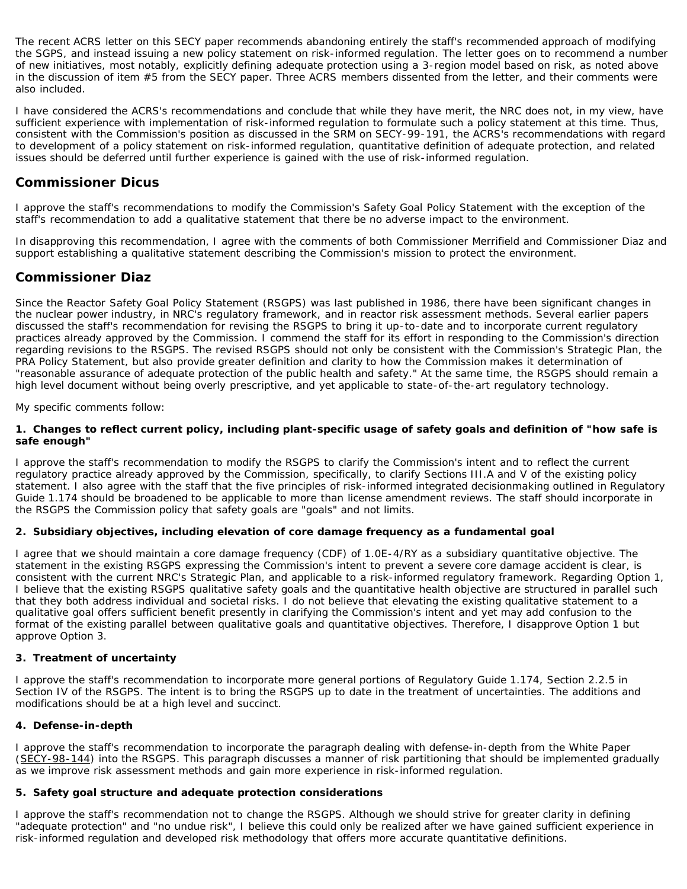The recent ACRS letter on this SECY paper recommends abandoning entirely the staff's recommended approach of modifying the SGPS, and instead issuing a new policy statement on risk-informed regulation. The letter goes on to recommend a number of new initiatives, most notably, explicitly defining adequate protection using a 3-region model based on risk, as noted above in the discussion of item #5 from the SECY paper. Three ACRS members dissented from the letter, and their comments were also included.

I have considered the ACRS's recommendations and conclude that while they have merit, the NRC does not, in my view, have sufficient experience with implementation of risk-informed regulation to formulate such a policy statement at this time. Thus, consistent with the Commission's position as discussed in the SRM on SECY-99-191, the ACRS's recommendations with regard to development of a policy statement on risk-informed regulation, quantitative definition of adequate protection, and related issues should be deferred until further experience is gained with the use of risk-informed regulation.

# **Commissioner Dicus**

I approve the staff's recommendations to modify the Commission's Safety Goal Policy Statement with the exception of the staff's recommendation to add a qualitative statement that there be no adverse impact to the environment.

In disapproving this recommendation, I agree with the comments of both Commissioner Merrifield and Commissioner Diaz and support establishing a qualitative statement describing the Commission's mission to protect the environment.

# **Commissioner Diaz**

Since the Reactor Safety Goal Policy Statement (RSGPS) was last published in 1986, there have been significant changes in the nuclear power industry, in NRC's regulatory framework, and in reactor risk assessment methods. Several earlier papers discussed the staff's recommendation for revising the RSGPS to bring it up-to-date and to incorporate current regulatory practices already approved by the Commission. I commend the staff for its effort in responding to the Commission's direction regarding revisions to the RSGPS. The revised RSGPS should not only be consistent with the Commission's Strategic Plan, the PRA Policy Statement, but also provide greater definition and clarity to how the Commission makes it determination of "reasonable assurance of adequate protection of the public health and safety." At the same time, the RSGPS should remain a high level document without being overly prescriptive, and yet applicable to state-of-the-art regulatory technology.

My specific comments follow:

#### **1. Changes to reflect current policy, including plant-specific usage of safety goals and definition of "how safe is safe enough"**

I approve the staff's recommendation to modify the RSGPS to clarify the Commission's intent and to reflect the current regulatory practice already approved by the Commission, specifically, to clarify Sections III.A and V of the existing policy statement. I also agree with the staff that the five principles of risk-informed integrated decisionmaking outlined in Regulatory Guide 1.174 should be broadened to be applicable to more than license amendment reviews. The staff should incorporate in the RSGPS the Commission policy that safety goals are "goals" and not limits.

# **2. Subsidiary objectives, including elevation of core damage frequency as a fundamental goal**

I agree that we should maintain a core damage frequency (CDF) of 1.0E-4/RY as a subsidiary quantitative objective. The statement in the existing RSGPS expressing the Commission's intent to prevent a severe core damage accident is clear, is consistent with the current NRC's Strategic Plan, and applicable to a risk-informed regulatory framework. Regarding Option 1, I believe that the existing RSGPS qualitative safety goals and the quantitative health objective are structured in parallel such that they both address individual and societal risks. I do not believe that elevating the existing qualitative statement to a qualitative goal offers sufficient benefit presently in clarifying the Commission's intent and yet may add confusion to the format of the existing parallel between qualitative goals and quantitative objectives. Therefore, I disapprove Option 1 but approve Option 3.

# **3. Treatment of uncertainty**

I approve the staff's recommendation to incorporate more general portions of Regulatory Guide 1.174, Section 2.2.5 in Section IV of the RSGPS. The intent is to bring the RSGPS up to date in the treatment of uncertainties. The additions and modifications should be at a high level and succinct.

# **4. Defense-in-depth**

I approve the staff's recommendation to incorporate the paragraph dealing with defense-in-depth from the White Paper (SECY-98-144) into the RSGPS. This paragraph discusses a manner of risk partitioning that should be implemented gradually as we improve risk assessment methods and gain more experience in risk-informed regulation.

#### **5. Safety goal structure and adequate protection considerations**

I approve the staff's recommendation not to change the RSGPS. Although we should strive for greater clarity in defining "adequate protection" and "no undue risk", I believe this could only be realized after we have gained sufficient experience in risk-informed regulation and developed risk methodology that offers more accurate quantitative definitions.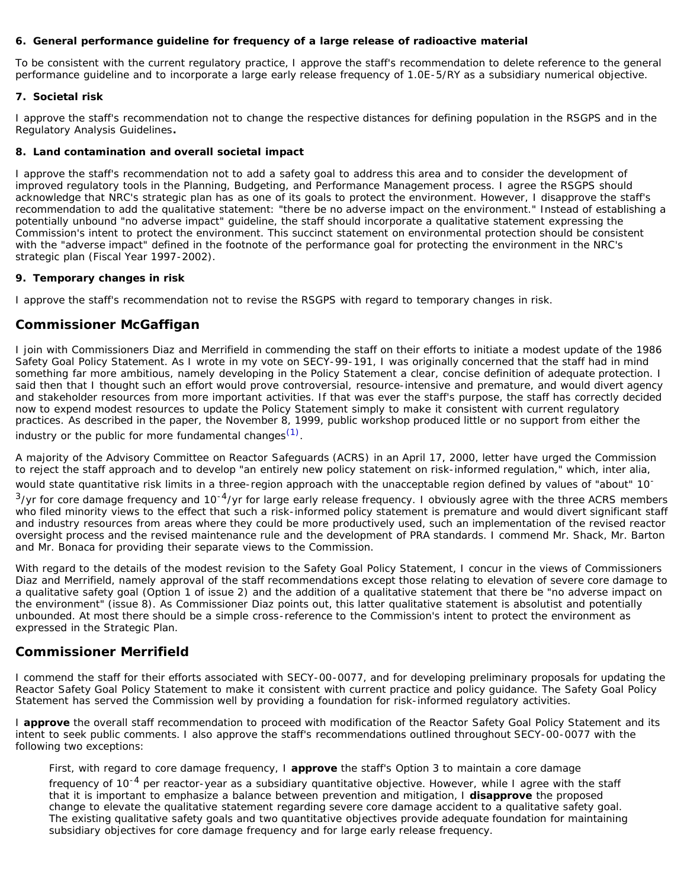### **6. General performance guideline for frequency of a large release of radioactive material**

To be consistent with the current regulatory practice, I approve the staff's recommendation to delete reference to the general performance guideline and to incorporate a large early release frequency of 1.0E-5/RY as a subsidiary numerical objective.

# **7. Societal risk**

I approve the staff's recommendation not to change the respective distances for defining population in the RSGPS and in the Regulatory Analysis Guidelines**.**

### **8. Land contamination and overall societal impact**

I approve the staff's recommendation not to add a safety goal to address this area and to consider the development of improved regulatory tools in the Planning, Budgeting, and Performance Management process. I agree the RSGPS should acknowledge that NRC's strategic plan has as one of its goals to protect the environment. However, I disapprove the staff's recommendation to add the qualitative statement: "there be no adverse impact on the environment." Instead of establishing a potentially unbound "no adverse impact" guideline, the staff should incorporate a qualitative statement expressing the Commission's intent to protect the environment. This succinct statement on environmental protection should be consistent with the "adverse impact" defined in the footnote of the performance goal for protecting the environment in the NRC's strategic plan (Fiscal Year 1997-2002).

#### **9. Temporary changes in risk**

I approve the staff's recommendation not to revise the RSGPS with regard to temporary changes in risk.

# **Commissioner McGaffigan**

I join with Commissioners Diaz and Merrifield in commending the staff on their efforts to initiate a modest update of the 1986 Safety Goal Policy Statement. As I wrote in my vote on SECY-99-191, I was originally concerned that the staff had in mind something far more ambitious, namely developing in the Policy Statement a clear, concise definition of adequate protection. I said then that I thought such an effort would prove controversial, resource-intensive and premature, and would divert agency and stakeholder resources from more important activities. If that was ever the staff's purpose, the staff has correctly decided now to expend modest resources to update the Policy Statement simply to make it consistent with current regulatory practices. As described in the paper, the November 8, 1999, public workshop produced little or no support from either the industry or the public for more fundamental changes<sup>[\(1\)](#page-5-0)</sup>.

A majority of the Advisory Committee on Reactor Safeguards (ACRS) in an April 17, 2000, letter have urged the Commission to reject the staff approach and to develop "an entirely new policy statement on risk-informed regulation," which, inter alia,

would state quantitative risk limits in a three-region approach with the unacceptable region defined by values of "about" 10-

 $3$ /yr for core damage frequency and 10<sup>-4</sup>/yr for large early release frequency. I obviously agree with the three ACRS members who filed minority views to the effect that such a risk-informed policy statement is premature and would divert significant staff and industry resources from areas where they could be more productively used, such an implementation of the revised reactor oversight process and the revised maintenance rule and the development of PRA standards. I commend Mr. Shack, Mr. Barton and Mr. Bonaca for providing their separate views to the Commission.

With regard to the details of the modest revision to the Safety Goal Policy Statement, I concur in the views of Commissioners Diaz and Merrifield, namely approval of the staff recommendations except those relating to elevation of severe core damage to a qualitative safety goal (Option 1 of issue 2) and the addition of a qualitative statement that there be "no adverse impact on the environment" (issue 8). As Commissioner Diaz points out, this latter qualitative statement is absolutist and potentially unbounded. At most there should be a simple cross-reference to the Commission's intent to protect the environment as expressed in the Strategic Plan.

# **Commissioner Merrifield**

I commend the staff for their efforts associated with SECY-00-0077, and for developing preliminary proposals for updating the Reactor Safety Goal Policy Statement to make it consistent with current practice and policy guidance. The Safety Goal Policy Statement has served the Commission well by providing a foundation for risk-informed regulatory activities.

I **approve** the overall staff recommendation to proceed with modification of the Reactor Safety Goal Policy Statement and its intent to seek public comments. I also approve the staff's recommendations outlined throughout SECY-00-0077 with the following two exceptions:

First, with regard to core damage frequency, I **approve** the staff's Option 3 to maintain a core damage

frequency of 10<sup>-4</sup> per reactor-year as a subsidiary quantitative objective. However, while I agree with the staff that it is important to emphasize a balance between prevention and mitigation, I **disapprove** the proposed change to elevate the qualitative statement regarding severe core damage accident to a qualitative safety goal. The existing qualitative safety goals and two quantitative objectives provide adequate foundation for maintaining subsidiary objectives for core damage frequency and for large early release frequency.